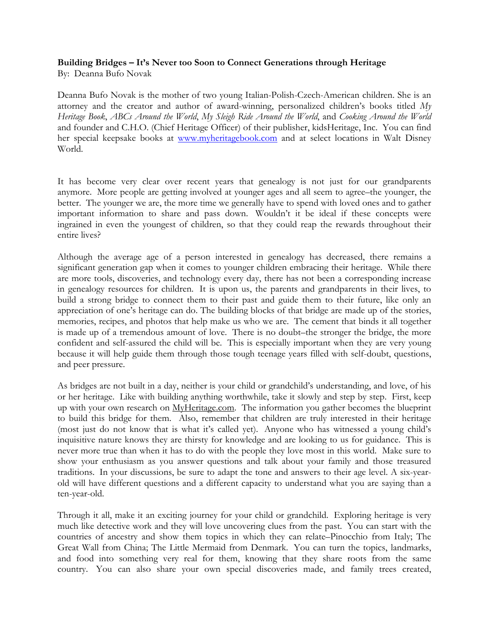## **Building Bridges – It's Never too Soon to Connect Generations through Heritage**

By: Deanna Bufo Novak

Deanna Bufo Novak is the mother of two young Italian-Polish-Czech-American children. She is an attorney and the creator and author of award-winning, personalized children's books titled *My Heritage Book*, *ABCs Around the World*, *My Sleigh Ride Around the World*, and *Cooking Around the World* and founder and C.H.O. (Chief Heritage Officer) of their publisher, kidsHeritage, Inc. You can find her special keepsake books at www.myheritagebook.com and at select locations in Walt Disney World.

It has become very clear over recent years that genealogy is not just for our grandparents anymore. More people are getting involved at younger ages and all seem to agree–the younger, the better. The younger we are, the more time we generally have to spend with loved ones and to gather important information to share and pass down. Wouldn't it be ideal if these concepts were ingrained in even the youngest of children, so that they could reap the rewards throughout their entire lives?

Although the average age of a person interested in genealogy has decreased, there remains a significant generation gap when it comes to younger children embracing their heritage. While there are more tools, discoveries, and technology every day, there has not been a corresponding increase in genealogy resources for children. It is upon us, the parents and grandparents in their lives, to build a strong bridge to connect them to their past and guide them to their future, like only an appreciation of one's heritage can do. The building blocks of that bridge are made up of the stories, memories, recipes, and photos that help make us who we are. The cement that binds it all together is made up of a tremendous amount of love. There is no doubt–the stronger the bridge, the more confident and self-assured the child will be. This is especially important when they are very young because it will help guide them through those tough teenage years filled with self-doubt, questions, and peer pressure.

As bridges are not built in a day, neither is your child or grandchild's understanding, and love, of his or her heritage. Like with building anything worthwhile, take it slowly and step by step. First, keep up with your own research on MyHeritage.com. The information you gather becomes the blueprint to build this bridge for them. Also, remember that children are truly interested in their heritage (most just do not know that is what it's called yet). Anyone who has witnessed a young child's inquisitive nature knows they are thirsty for knowledge and are looking to us for guidance. This is never more true than when it has to do with the people they love most in this world. Make sure to show your enthusiasm as you answer questions and talk about your family and those treasured traditions. In your discussions, be sure to adapt the tone and answers to their age level. A six-yearold will have different questions and a different capacity to understand what you are saying than a ten-year-old.

Through it all, make it an exciting journey for your child or grandchild. Exploring heritage is very much like detective work and they will love uncovering clues from the past. You can start with the countries of ancestry and show them topics in which they can relate–Pinocchio from Italy; The Great Wall from China; The Little Mermaid from Denmark. You can turn the topics, landmarks, and food into something very real for them, knowing that they share roots from the same country. You can also share your own special discoveries made, and family trees created,